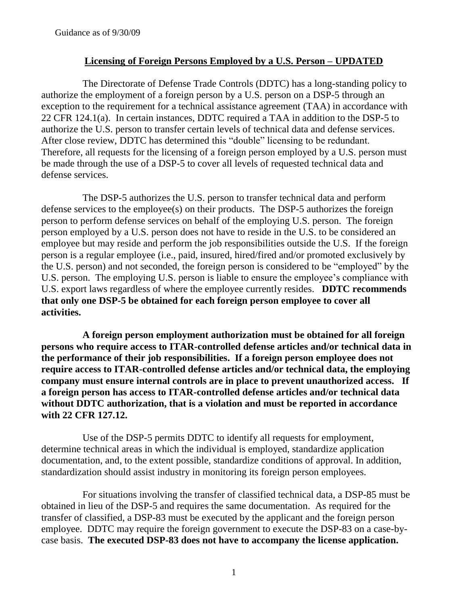# **Licensing of Foreign Persons Employed by a U.S. Person – UPDATED**

The Directorate of Defense Trade Controls (DDTC) has a long-standing policy to authorize the employment of a foreign person by a U.S. person on a DSP-5 through an exception to the requirement for a technical assistance agreement (TAA) in accordance with 22 CFR 124.1(a). In certain instances, DDTC required a TAA in addition to the DSP-5 to authorize the U.S. person to transfer certain levels of technical data and defense services. After close review, DDTC has determined this "double" licensing to be redundant. Therefore, all requests for the licensing of a foreign person employed by a U.S. person must be made through the use of a DSP-5 to cover all levels of requested technical data and defense services.

The DSP-5 authorizes the U.S. person to transfer technical data and perform defense services to the employee(s) on their products. The DSP-5 authorizes the foreign person to perform defense services on behalf of the employing U.S. person. The foreign person employed by a U.S. person does not have to reside in the U.S. to be considered an employee but may reside and perform the job responsibilities outside the U.S. If the foreign person is a regular employee (i.e., paid, insured, hired/fired and/or promoted exclusively by the U.S. person) and not seconded, the foreign person is considered to be "employed" by the U.S. person. The employing U.S. person is liable to ensure the employee's compliance with U.S. export laws regardless of where the employee currently resides. **DDTC recommends that only one DSP-5 be obtained for each foreign person employee to cover all activities.** 

**A foreign person employment authorization must be obtained for all foreign persons who require access to ITAR-controlled defense articles and/or technical data in the performance of their job responsibilities. If a foreign person employee does not require access to ITAR-controlled defense articles and/or technical data, the employing company must ensure internal controls are in place to prevent unauthorized access. If a foreign person has access to ITAR-controlled defense articles and/or technical data without DDTC authorization, that is a violation and must be reported in accordance with 22 CFR 127.12.** 

Use of the DSP-5 permits DDTC to identify all requests for employment, determine technical areas in which the individual is employed, standardize application documentation, and, to the extent possible, standardize conditions of approval. In addition, standardization should assist industry in monitoring its foreign person employees.

For situations involving the transfer of classified technical data, a DSP-85 must be obtained in lieu of the DSP-5 and requires the same documentation. As required for the transfer of classified, a DSP-83 must be executed by the applicant and the foreign person employee. DDTC may require the foreign government to execute the DSP-83 on a case-bycase basis. **The executed DSP-83 does not have to accompany the license application.**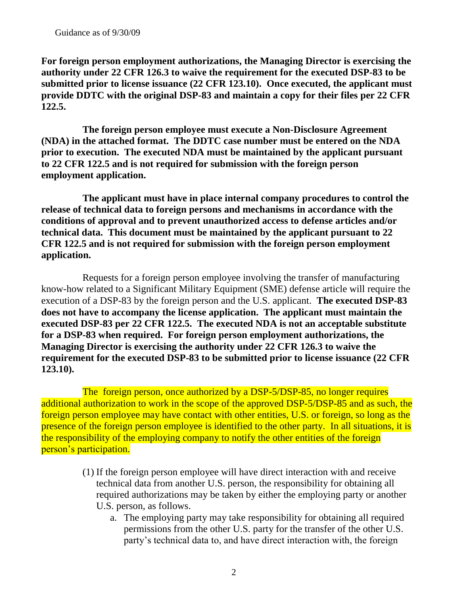**For foreign person employment authorizations, the Managing Director is exercising the authority under 22 CFR 126.3 to waive the requirement for the executed DSP-83 to be submitted prior to license issuance (22 CFR 123.10). Once executed, the applicant must provide DDTC with the original DSP-83 and maintain a copy for their files per 22 CFR 122.5.**

**The foreign person employee must execute a Non-Disclosure Agreement (NDA) in the attached format. The DDTC case number must be entered on the NDA prior to execution. The executed NDA must be maintained by the applicant pursuant to 22 CFR 122.5 and is not required for submission with the foreign person employment application.**

**The applicant must have in place internal company procedures to control the release of technical data to foreign persons and mechanisms in accordance with the conditions of approval and to prevent unauthorized access to defense articles and/or technical data. This document must be maintained by the applicant pursuant to 22 CFR 122.5 and is not required for submission with the foreign person employment application.** 

Requests for a foreign person employee involving the transfer of manufacturing know-how related to a Significant Military Equipment (SME) defense article will require the execution of a DSP-83 by the foreign person and the U.S. applicant. **The executed DSP-83 does not have to accompany the license application. The applicant must maintain the executed DSP-83 per 22 CFR 122.5. The executed NDA is not an acceptable substitute for a DSP-83 when required. For foreign person employment authorizations, the Managing Director is exercising the authority under 22 CFR 126.3 to waive the requirement for the executed DSP-83 to be submitted prior to license issuance (22 CFR 123.10).**

The foreign person, once authorized by a DSP-5/DSP-85, no longer requires additional authorization to work in the scope of the approved DSP-5/DSP-85 and as such, the foreign person employee may have contact with other entities, U.S. or foreign, so long as the presence of the foreign person employee is identified to the other party. In all situations, it is the responsibility of the employing company to notify the other entities of the foreign person's participation.

- (1) If the foreign person employee will have direct interaction with and receive technical data from another U.S. person, the responsibility for obtaining all required authorizations may be taken by either the employing party or another U.S. person, as follows.
	- a. The employing party may take responsibility for obtaining all required permissions from the other U.S. party for the transfer of the other U.S. party's technical data to, and have direct interaction with, the foreign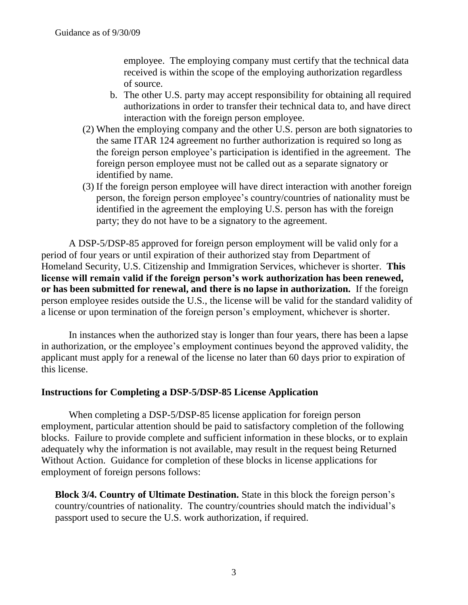employee. The employing company must certify that the technical data received is within the scope of the employing authorization regardless of source.

- b. The other U.S. party may accept responsibility for obtaining all required authorizations in order to transfer their technical data to, and have direct interaction with the foreign person employee.
- (2) When the employing company and the other U.S. person are both signatories to the same ITAR 124 agreement no further authorization is required so long as the foreign person employee's participation is identified in the agreement. The foreign person employee must not be called out as a separate signatory or identified by name.
- (3) If the foreign person employee will have direct interaction with another foreign person, the foreign person employee's country/countries of nationality must be identified in the agreement the employing U.S. person has with the foreign party; they do not have to be a signatory to the agreement.

A DSP-5/DSP-85 approved for foreign person employment will be valid only for a period of four years or until expiration of their authorized stay from Department of Homeland Security, U.S. Citizenship and Immigration Services, whichever is shorter. **This license will remain valid if the foreign person's work authorization has been renewed, or has been submitted for renewal, and there is no lapse in authorization.** If the foreign person employee resides outside the U.S., the license will be valid for the standard validity of a license or upon termination of the foreign person's employment, whichever is shorter.

In instances when the authorized stay is longer than four years, there has been a lapse in authorization, or the employee's employment continues beyond the approved validity, the applicant must apply for a renewal of the license no later than 60 days prior to expiration of this license.

## **Instructions for Completing a DSP-5/DSP-85 License Application**

When completing a DSP-5/DSP-85 license application for foreign person employment, particular attention should be paid to satisfactory completion of the following blocks. Failure to provide complete and sufficient information in these blocks, or to explain adequately why the information is not available, may result in the request being Returned Without Action. Guidance for completion of these blocks in license applications for employment of foreign persons follows:

**Block 3/4. Country of Ultimate Destination.** State in this block the foreign person's country/countries of nationality. The country/countries should match the individual's passport used to secure the U.S. work authorization, if required.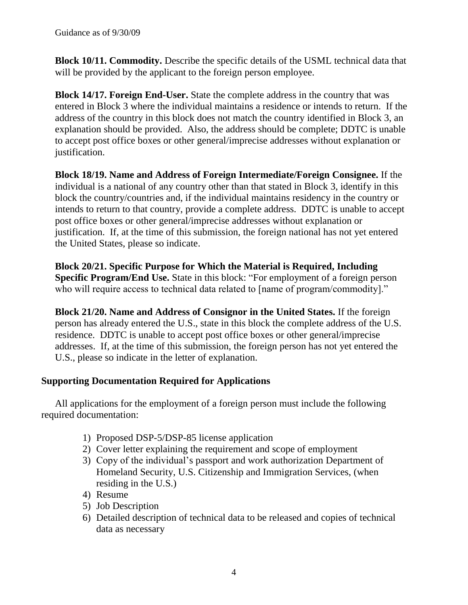**Block 10/11. Commodity.** Describe the specific details of the USML technical data that will be provided by the applicant to the foreign person employee.

**Block 14/17. Foreign End-User.** State the complete address in the country that was entered in Block 3 where the individual maintains a residence or intends to return. If the address of the country in this block does not match the country identified in Block 3, an explanation should be provided. Also, the address should be complete; DDTC is unable to accept post office boxes or other general/imprecise addresses without explanation or justification.

**Block 18/19. Name and Address of Foreign Intermediate/Foreign Consignee.** If the individual is a national of any country other than that stated in Block 3, identify in this block the country/countries and, if the individual maintains residency in the country or intends to return to that country, provide a complete address. DDTC is unable to accept post office boxes or other general/imprecise addresses without explanation or justification. If, at the time of this submission, the foreign national has not yet entered the United States, please so indicate.

**Block 20/21. Specific Purpose for Which the Material is Required, Including Specific Program/End Use.** State in this block: "For employment of a foreign person who will require access to technical data related to [name of program/commodity]."

**Block 21/20. Name and Address of Consignor in the United States.** If the foreign person has already entered the U.S., state in this block the complete address of the U.S. residence. DDTC is unable to accept post office boxes or other general/imprecise addresses. If, at the time of this submission, the foreign person has not yet entered the U.S., please so indicate in the letter of explanation.

# **Supporting Documentation Required for Applications**

All applications for the employment of a foreign person must include the following required documentation:

- 1) Proposed DSP-5/DSP-85 license application
- 2) Cover letter explaining the requirement and scope of employment
- 3) Copy of the individual's passport and work authorization Department of Homeland Security, U.S. Citizenship and Immigration Services, (when residing in the U.S.)
- 4) Resume
- 5) Job Description
- 6) Detailed description of technical data to be released and copies of technical data as necessary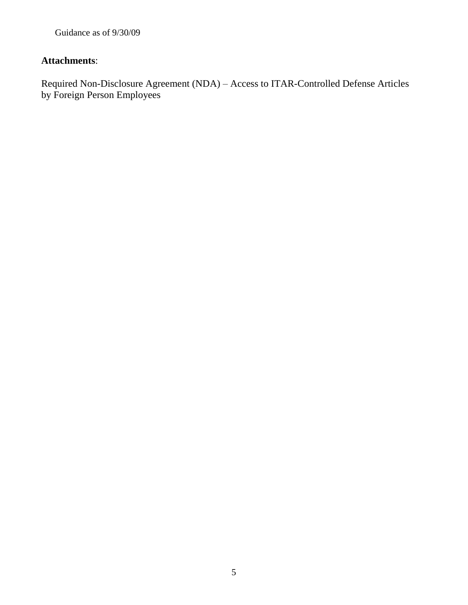Guidance as of 9/30/09

# **Attachments**:

Required Non-Disclosure Agreement (NDA) – Access to ITAR-Controlled Defense Articles by Foreign Person Employees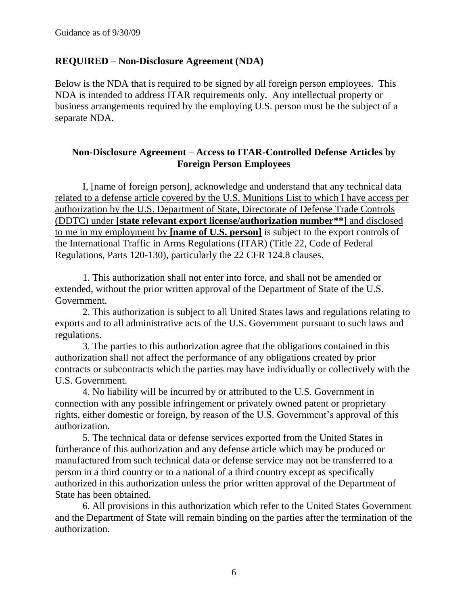## **REQUIRED – Non-Disclosure Agreement (NDA)**

Below is the NDA that is required to be signed by all foreign person employees. This NDA is intended to address ITAR requirements only. Any intellectual property or business arrangements required by the employing U.S. person must be the subject of a separate NDA.

## **Non-Disclosure Agreement – Access to ITAR-Controlled Defense Articles by Foreign Person Employees**

I, [name of foreign person], acknowledge and understand that any technical data related to a defense article covered by the U.S. Munitions List to which I have access per authorization by the U.S. Department of State, Directorate of Defense Trade Controls (DDTC) under **[state relevant export license/authorization number\*\*]** and disclosed to me in my employment by **[name of U.S. person]** is subject to the export controls of the International Traffic in Arms Regulations (ITAR) (Title 22, Code of Federal Regulations, Parts 120-130), particularly the 22 CFR 124.8 clauses.

1. This authorization shall not enter into force, and shall not be amended or extended, without the prior written approval of the Department of State of the U.S. Government.

2. This authorization is subject to all United States laws and regulations relating to exports and to all administrative acts of the U.S. Government pursuant to such laws and regulations.

3. The parties to this authorization agree that the obligations contained in this authorization shall not affect the performance of any obligations created by prior contracts or subcontracts which the parties may have individually or collectively with the U.S. Government.

4. No liability will be incurred by or attributed to the U.S. Government in connection with any possible infringement or privately owned patent or proprietary rights, either domestic or foreign, by reason of the U.S. Government's approval of this authorization.

5. The technical data or defense services exported from the United States in furtherance of this authorization and any defense article which may be produced or manufactured from such technical data or defense service may not be transferred to a person in a third country or to a national of a third country except as specifically authorized in this authorization unless the prior written approval of the Department of State has been obtained.

6. All provisions in this authorization which refer to the United States Government and the Department of State will remain binding on the parties after the termination of the authorization.